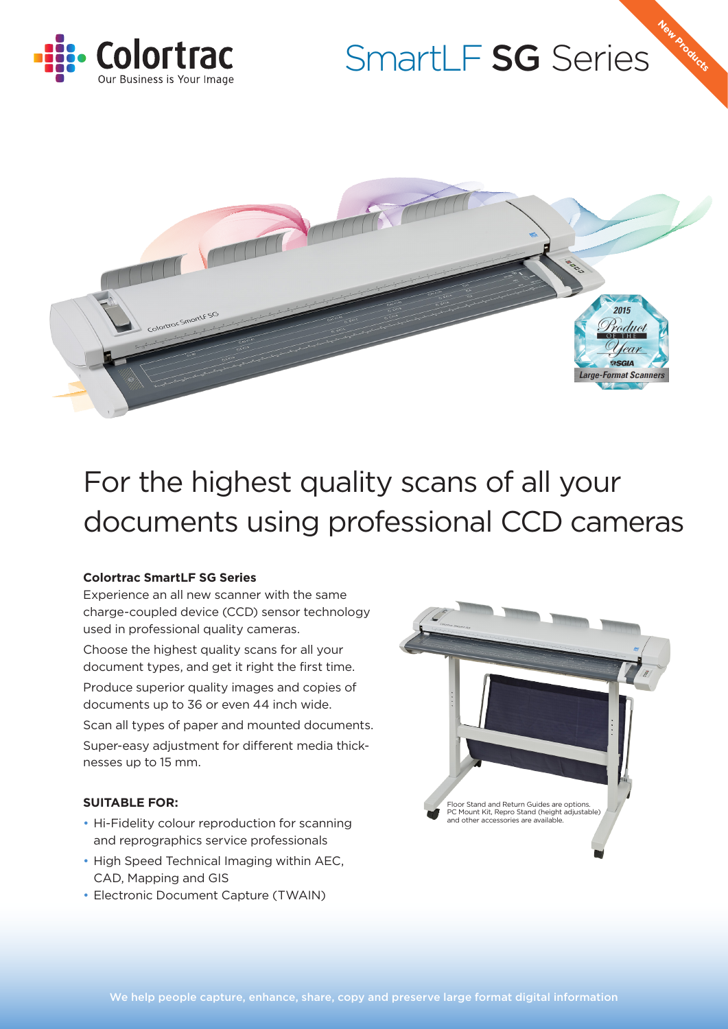

# SmartLF SG Series

**New Products**



## For the highest quality scans of all your documents using professional CCD cameras

#### **Colortrac SmartLF SG Series**

Experience an all new scanner with the same charge-coupled device (CCD) sensor technology used in professional quality cameras.

Choose the highest quality scans for all your document types, and get it right the first time.

Produce superior quality images and copies of documents up to 36 or even 44 inch wide.

Scan all types of paper and mounted documents. Super-easy adjustment for different media thicknesses up to 15 mm.

#### **SUITABLE FOR:**

- Hi-Fidelity colour reproduction for scanning and reprographics service professionals
- High Speed Technical Imaging within AEC, CAD, Mapping and GIS
- Electronic Document Capture (TWAIN)